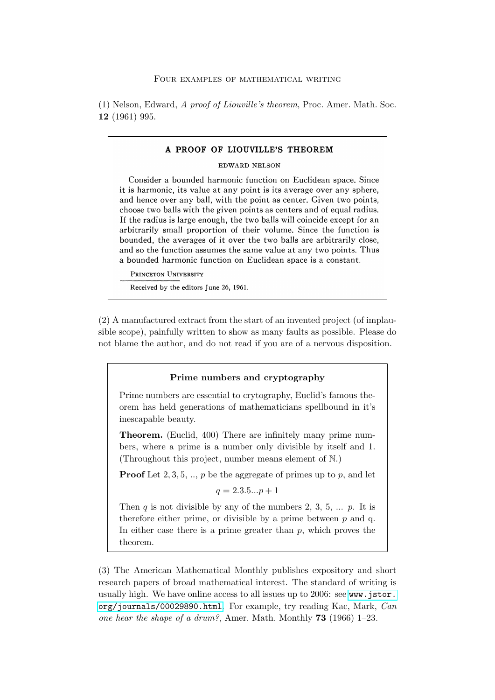(1) Nelson, Edward, A proof of Liouville's theorem, Proc. Amer. Math. Soc. 12 (1961) 995.

# **A PROOF OF LIOUVILLE'S THEOREM EDWARD NELSON Consider a bounded harmonic function on Euclidean space. Since it is harmonic, its value at any point is its average over any sphere, and hence over any ball, with the point as center. Given two points, choose two balls with the given points as centers and of equal radius. If the radius is large enough, the two balls will coincide except for an arbitrarily small proportion of their volume. Since the function is bounded, the averages of it over the two balls are arbitrarily close, and so the function assumes the same value at any two points. Thus a bounded harmonic function on Euclidean space is a constant. PRINCETON UNIVERSITY**

**Received by the editors June 26, 1961.** 

(2) A manufactured extract from the start of an invented project (of implausible scope), painfully written to show as many faults as possible. Please do not blame the author, and do not read if you are of a nervous disposition.

#### Prime numbers and cryptography

Prime numbers are essential to crytography, Euclid's famous theorem has held generations of mathematicians spellbound in it's inescapable beauty.

Theorem. (Euclid, 400) There are infinitely many prime numbers, where a prime is a number only divisible by itself and 1. (Throughout this project, number means element of N.)

**Proof** Let 2, 3, 5, .., p be the aggregate of primes up to p, and let

$$
q = 2.3.5...p + 1
$$

Then  $q$  is not divisible by any of the numbers 2, 3, 5, ...  $p$ . It is therefore either prime, or divisible by a prime between  $p$  and q. In either case there is a prime greater than  $p$ , which proves the theorem.

(3) The American Mathematical Monthly publishes expository and short research papers of broad mathematical interest. The standard of writing is usually high. We have online access to all issues up to 2006: see [www.jstor.](www.jstor.org/journals/00029890.html) [org/journals/00029890.html](www.jstor.org/journals/00029890.html). For example, try reading Kac, Mark, Can one hear the shape of a drum?, Amer. Math. Monthly **73** (1966) 1–23.